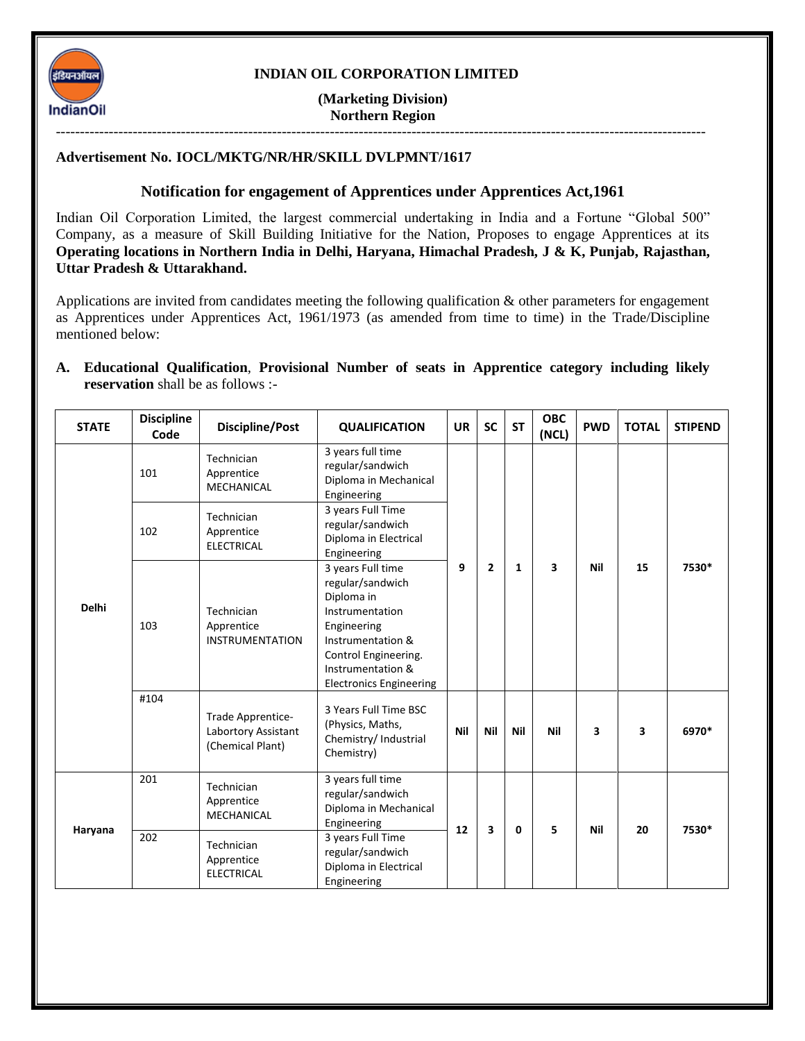

### **INDIAN OIL CORPORATION LIMITED**

**(Marketing Division) Northern Region**

---------------------------------------------------------------------------------------------------------------------------------------

#### **Advertisement No. IOCL/MKTG/NR/HR/SKILL DVLPMNT/1617**

### **Notification for engagement of Apprentices under Apprentices Act,1961**

Indian Oil Corporation Limited, the largest commercial undertaking in India and a Fortune "Global 500" Company, as a measure of Skill Building Initiative for the Nation, Proposes to engage Apprentices at its **Operating locations in Northern India in Delhi, Haryana, Himachal Pradesh, J & K, Punjab, Rajasthan, Uttar Pradesh & Uttarakhand.**

Applications are invited from candidates meeting the following qualification & other parameters for engagement as Apprentices under Apprentices Act, 1961/1973 (as amended from time to time) in the Trade/Discipline mentioned below:

#### **A. Educational Qualification**, **Provisional Number of seats in Apprentice category including likely reservation** shall be as follows :-

| <b>STATE</b> | <b>Discipline</b><br>Code | <b>Discipline/Post</b>                                       | <b>QUALIFICATION</b>                                                                                                                                                                      | <b>UR</b> | <b>SC</b>    | <b>ST</b> | <b>OBC</b><br>(NCL) | <b>PWD</b> | <b>TOTAL</b> | <b>STIPEND</b> |
|--------------|---------------------------|--------------------------------------------------------------|-------------------------------------------------------------------------------------------------------------------------------------------------------------------------------------------|-----------|--------------|-----------|---------------------|------------|--------------|----------------|
| <b>Delhi</b> | 101                       | Technician<br>Apprentice<br><b>MECHANICAL</b>                | 3 years full time<br>regular/sandwich<br>Diploma in Mechanical<br>Engineering                                                                                                             | 9         |              | 1         | 3                   | <b>Nil</b> | 15           | 7530*          |
|              | 102                       | Technician<br>Apprentice<br><b>ELECTRICAL</b>                | 3 years Full Time<br>regular/sandwich<br>Diploma in Electrical<br>Engineering                                                                                                             |           | $\mathbf{2}$ |           |                     |            |              |                |
|              | 103                       | Technician<br>Apprentice<br><b>INSTRUMENTATION</b>           | 3 years Full time<br>regular/sandwich<br>Diploma in<br>Instrumentation<br>Engineering<br>Instrumentation &<br>Control Engineering.<br>Instrumentation &<br><b>Electronics Engineering</b> |           |              |           |                     |            |              |                |
|              | #104                      | Trade Apprentice-<br>Labortory Assistant<br>(Chemical Plant) | 3 Years Full Time BSC<br>(Physics, Maths,<br>Chemistry/ Industrial<br>Chemistry)                                                                                                          | Nil       | Nil          | Nil       | <b>Nil</b>          | 3          | 3            | 6970*          |
| Haryana      | 201                       | Technician<br>Apprentice<br><b>MECHANICAL</b>                | 3 years full time<br>regular/sandwich<br>Diploma in Mechanical<br>Engineering                                                                                                             | 12        | 3            | 0         | 5                   | <b>Nil</b> | 20           | 7530*          |
|              | 202                       | Technician<br>Apprentice<br><b>ELECTRICAL</b>                | 3 years Full Time<br>regular/sandwich<br>Diploma in Electrical<br>Engineering                                                                                                             |           |              |           |                     |            |              |                |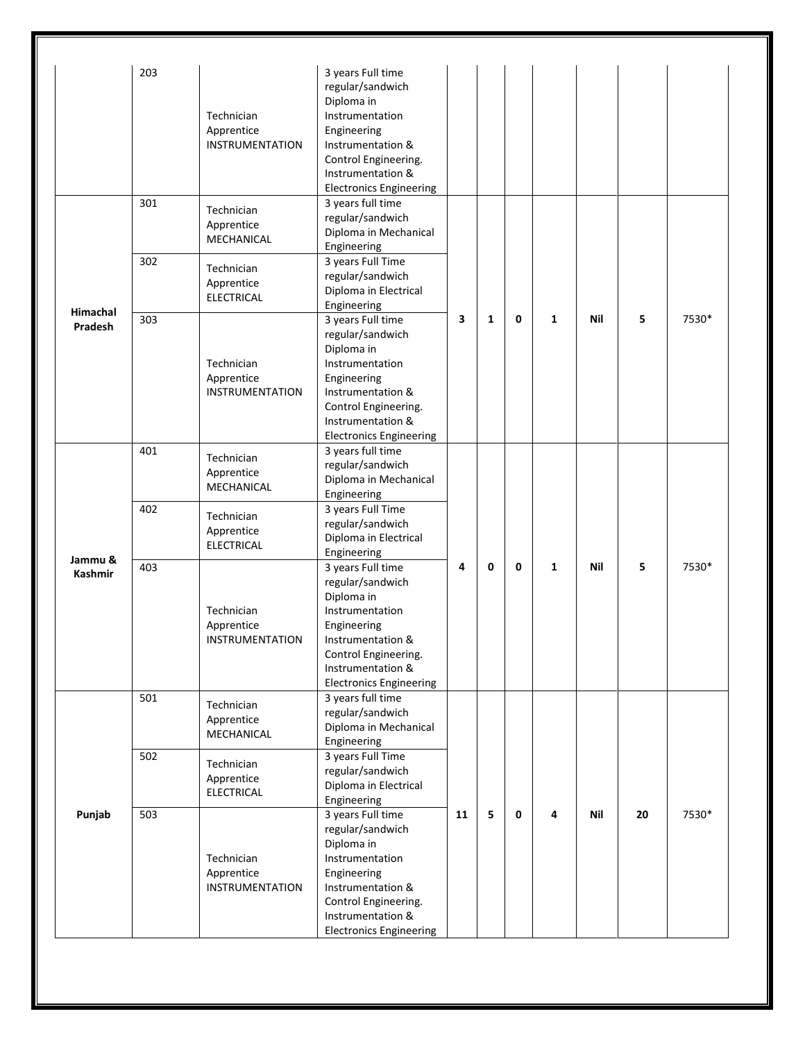|                | 203 |                                               | 3 years Full time              |    |              |   |              |     |    |       |
|----------------|-----|-----------------------------------------------|--------------------------------|----|--------------|---|--------------|-----|----|-------|
|                |     |                                               | regular/sandwich               |    |              |   |              |     |    |       |
|                |     |                                               | Diploma in                     |    |              |   |              |     |    |       |
|                |     | Technician                                    | Instrumentation                |    |              |   |              |     |    |       |
|                |     | Apprentice                                    | Engineering                    |    |              |   |              |     |    |       |
|                |     | <b>INSTRUMENTATION</b>                        | Instrumentation &              |    |              |   |              |     |    |       |
|                |     |                                               | Control Engineering.           |    |              |   |              |     |    |       |
|                |     |                                               | Instrumentation &              |    |              |   |              |     |    |       |
|                |     |                                               | <b>Electronics Engineering</b> |    |              |   |              |     |    |       |
|                | 301 | Technician                                    | 3 years full time              |    |              |   |              |     |    |       |
|                |     |                                               | regular/sandwich               |    | $\mathbf{1}$ |   |              |     |    |       |
|                |     | Apprentice<br>MECHANICAL                      | Diploma in Mechanical          |    |              |   |              |     |    | 7530* |
|                |     |                                               | Engineering                    |    |              |   |              |     |    |       |
|                | 302 |                                               | 3 years Full Time              |    |              |   | $\mathbf{1}$ |     |    |       |
|                |     | Technician                                    | regular/sandwich               |    |              |   |              |     | 5  |       |
|                |     | Apprentice                                    | Diploma in Electrical          |    |              |   |              | Nil |    |       |
|                |     | <b>ELECTRICAL</b>                             | Engineering                    |    |              | 0 |              |     |    |       |
| Himachal       | 303 |                                               | 3 years Full time              | 3  |              |   |              |     |    |       |
| <b>Pradesh</b> |     |                                               | regular/sandwich               |    |              |   |              |     |    |       |
|                |     |                                               | Diploma in                     |    |              |   |              |     |    |       |
|                |     | Technician                                    | Instrumentation                |    |              |   |              |     |    |       |
|                |     | Apprentice                                    | Engineering                    |    |              |   |              |     |    |       |
|                |     | <b>INSTRUMENTATION</b>                        | Instrumentation &              |    |              |   |              |     |    |       |
|                |     |                                               | Control Engineering.           |    |              |   |              |     |    |       |
|                |     |                                               | Instrumentation &              |    |              |   |              |     |    |       |
|                |     |                                               | <b>Electronics Engineering</b> |    |              |   |              |     |    |       |
|                | 401 |                                               | 3 years full time              |    |              |   |              |     |    |       |
|                |     | Technician                                    | regular/sandwich               |    |              |   |              |     |    |       |
|                |     | Apprentice<br>MECHANICAL                      | Diploma in Mechanical          |    |              |   |              |     |    |       |
|                |     |                                               | Engineering                    |    |              |   |              |     |    |       |
|                | 402 | Technician<br>Apprentice<br><b>ELECTRICAL</b> | 3 years Full Time              |    |              |   |              |     |    |       |
|                |     |                                               | regular/sandwich               |    |              |   |              |     |    |       |
|                |     |                                               | Diploma in Electrical          |    |              |   |              |     |    |       |
|                |     |                                               | Engineering                    |    |              |   |              |     |    |       |
| Jammu &        | 403 |                                               | 3 years Full time              | 4  | 0            | 0 | $\mathbf{1}$ | Nil | 5  | 7530* |
| <b>Kashmir</b> |     |                                               | regular/sandwich               |    |              |   |              |     |    |       |
|                |     |                                               | Diploma in                     |    |              |   |              |     |    |       |
|                |     | Technician                                    | Instrumentation                |    |              |   |              |     |    |       |
|                |     | Apprentice                                    | Engineering                    |    |              |   |              |     |    |       |
|                |     | INSTRUMENTATION                               | Instrumentation &              |    |              |   |              |     |    |       |
|                |     |                                               | Control Engineering.           |    |              |   |              |     |    |       |
|                |     |                                               | Instrumentation &              |    |              |   |              |     |    |       |
|                |     |                                               | <b>Electronics Engineering</b> |    |              |   |              |     |    |       |
|                | 501 |                                               | 3 years full time              |    |              |   |              |     |    |       |
| Punjab         |     | Technician                                    | regular/sandwich               |    |              |   |              |     |    |       |
|                |     | Apprentice                                    | Diploma in Mechanical          |    |              |   |              |     |    |       |
|                |     | MECHANICAL                                    | Engineering                    |    |              |   |              |     |    |       |
|                | 502 |                                               | 3 years Full Time              |    |              |   |              |     |    |       |
|                |     | Technician                                    | regular/sandwich               |    |              |   |              |     |    |       |
|                |     | Apprentice                                    |                                |    |              |   |              |     |    |       |
|                |     | <b>ELECTRICAL</b>                             | Diploma in Electrical          |    |              |   | 4            | Nil | 20 |       |
|                |     |                                               | Engineering                    | 11 | 5            | 0 |              |     |    |       |
|                | 503 |                                               | 3 years Full time              |    |              |   |              |     |    | 7530* |
|                |     |                                               | regular/sandwich               |    |              |   |              |     |    |       |
|                |     |                                               | Diploma in                     |    |              |   |              |     |    |       |
|                |     | Technician                                    | Instrumentation                |    |              |   |              |     |    |       |
|                |     | Apprentice                                    | Engineering                    |    |              |   |              |     |    |       |
|                |     | <b>INSTRUMENTATION</b>                        | Instrumentation &              |    |              |   |              |     |    |       |
|                |     |                                               | Control Engineering.           |    |              |   |              |     |    |       |
|                |     |                                               | Instrumentation &              |    |              |   |              |     |    |       |
|                |     |                                               | <b>Electronics Engineering</b> |    |              |   |              |     |    |       |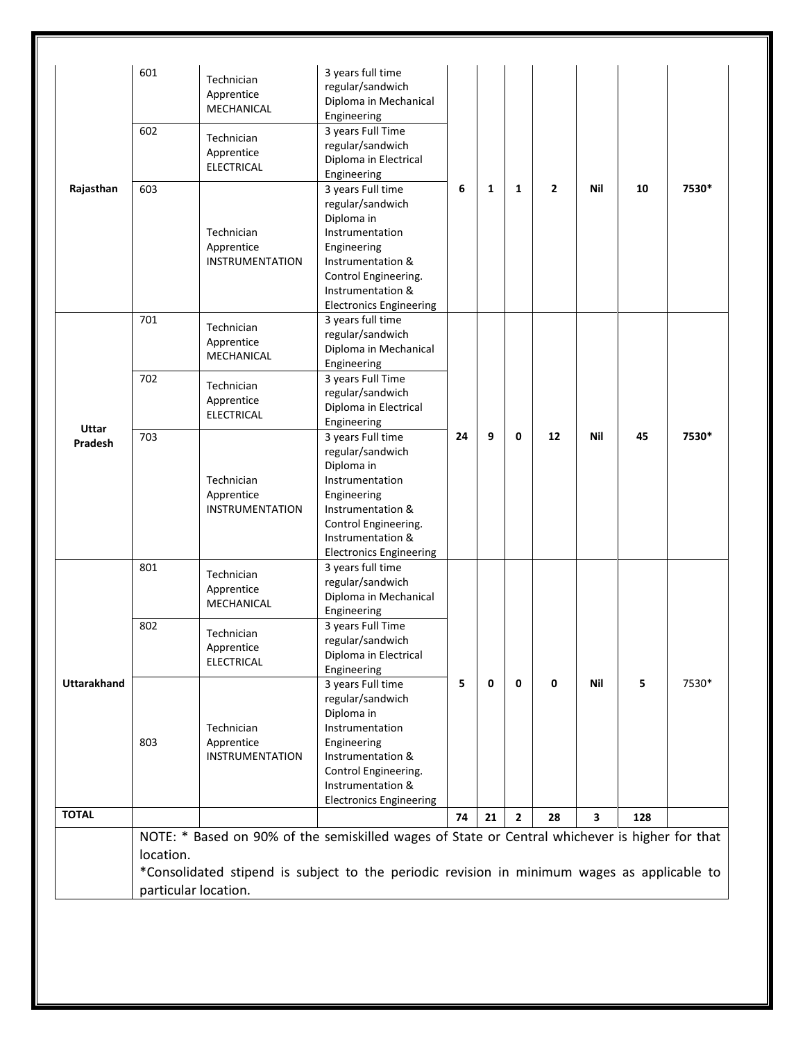|                                      | 601                               | Technician<br>Apprentice<br>MECHANICAL             | 3 years full time<br>regular/sandwich<br>Diploma in Mechanical<br>Engineering                                                                                                                 |         |        |        |    |            |          |       |
|--------------------------------------|-----------------------------------|----------------------------------------------------|-----------------------------------------------------------------------------------------------------------------------------------------------------------------------------------------------|---------|--------|--------|----|------------|----------|-------|
| Rajasthan<br><b>Uttar</b><br>Pradesh | 602                               | Technician<br>Apprentice<br><b>ELECTRICAL</b>      | 3 years Full Time<br>regular/sandwich<br>Diploma in Electrical<br>Engineering                                                                                                                 | 6<br>24 | 1<br>9 | 1<br>0 | 2  | Nil<br>Nil | 10<br>45 | 7530* |
|                                      | 603                               | Technician<br>Apprentice<br><b>INSTRUMENTATION</b> | 3 years Full time<br>regular/sandwich<br>Diploma in<br>Instrumentation<br>Engineering<br>Instrumentation &<br>Control Engineering.<br>Instrumentation &<br><b>Electronics Engineering</b>     |         |        |        |    |            |          |       |
|                                      | 701                               | Technician<br>Apprentice<br>MECHANICAL             | 3 years full time<br>regular/sandwich<br>Diploma in Mechanical<br>Engineering                                                                                                                 |         |        |        |    |            |          |       |
|                                      | 702                               | Technician<br>Apprentice<br><b>ELECTRICAL</b>      | 3 years Full Time<br>regular/sandwich<br>Diploma in Electrical<br>Engineering                                                                                                                 |         |        |        |    |            |          |       |
|                                      | 703                               | Technician<br>Apprentice<br><b>INSTRUMENTATION</b> | 3 years Full time<br>regular/sandwich<br>Diploma in<br>Instrumentation<br>Engineering<br>Instrumentation &<br>Control Engineering.<br>Instrumentation &<br><b>Electronics Engineering</b>     |         |        |        | 12 |            |          | 7530* |
| <b>Uttarakhand</b>                   | 801                               | Technician<br>Apprentice<br>MECHANICAL             | 3 years full time<br>regular/sandwich<br>Diploma in Mechanical<br>Engineering                                                                                                                 | 5       | 0      | 0      | 0  | Nil        | 5        |       |
|                                      | 802                               | Technician<br>Apprentice<br><b>ELECTRICAL</b>      | 3 years Full Time<br>regular/sandwich<br>Diploma in Electrical<br>Engineering                                                                                                                 |         |        |        |    |            |          |       |
|                                      | 803                               | Technician<br>Apprentice<br><b>INSTRUMENTATION</b> | 3 years Full time<br>regular/sandwich<br>Diploma in<br>Instrumentation<br>Engineering<br>Instrumentation &<br>Control Engineering.<br>Instrumentation &<br><b>Electronics Engineering</b>     |         |        |        |    |            |          | 7530* |
| <b>TOTAL</b>                         |                                   |                                                    |                                                                                                                                                                                               | 74      | 21     | 2      | 28 | 3          | 128      |       |
|                                      | location.<br>particular location. |                                                    | NOTE: * Based on 90% of the semiskilled wages of State or Central whichever is higher for that<br>*Consolidated stipend is subject to the periodic revision in minimum wages as applicable to |         |        |        |    |            |          |       |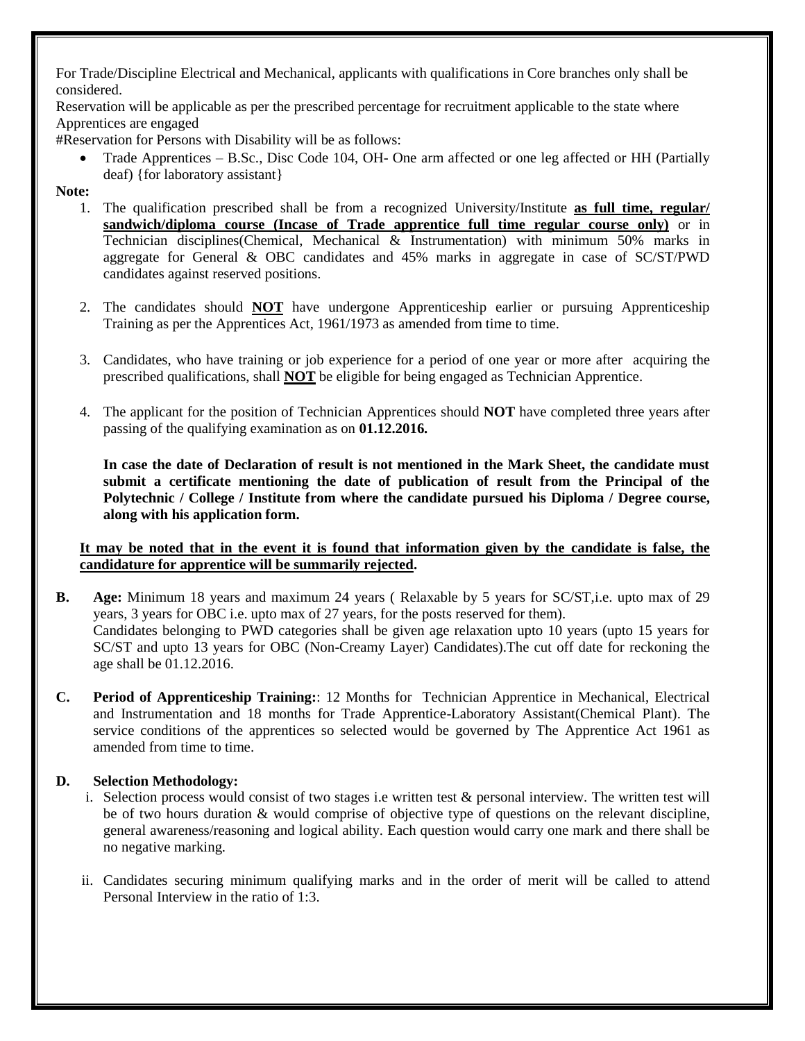For Trade/Discipline Electrical and Mechanical, applicants with qualifications in Core branches only shall be considered.

Reservation will be applicable as per the prescribed percentage for recruitment applicable to the state where Apprentices are engaged

#Reservation for Persons with Disability will be as follows:

• Trade Apprentices – B.Sc., Disc Code 104, OH- One arm affected or one leg affected or HH (Partially deaf) {for laboratory assistant}

### **Note:**

- 1. The qualification prescribed shall be from a recognized University/Institute **as full time, regular/ sandwich/diploma course (Incase of Trade apprentice full time regular course only)** or in Technician disciplines(Chemical, Mechanical & Instrumentation) with minimum 50% marks in aggregate for General & OBC candidates and 45% marks in aggregate in case of SC/ST/PWD candidates against reserved positions.
- 2. The candidates should **NOT** have undergone Apprenticeship earlier or pursuing Apprenticeship Training as per the Apprentices Act, 1961/1973 as amended from time to time.
- 3. Candidates, who have training or job experience for a period of one year or more after acquiring the prescribed qualifications, shall **NOT** be eligible for being engaged as Technician Apprentice.
- 4. The applicant for the position of Technician Apprentices should **NOT** have completed three years after passing of the qualifying examination as on **01.12.2016.**

**In case the date of Declaration of result is not mentioned in the Mark Sheet, the candidate must submit a certificate mentioning the date of publication of result from the Principal of the Polytechnic / College / Institute from where the candidate pursued his Diploma / Degree course, along with his application form.**

### **It may be noted that in the event it is found that information given by the candidate is false, the candidature for apprentice will be summarily rejected.**

- **B. Age:** Minimum 18 years and maximum 24 years ( Relaxable by 5 years for SC/ST,i.e. upto max of 29 years, 3 years for OBC i.e. upto max of 27 years, for the posts reserved for them). Candidates belonging to PWD categories shall be given age relaxation upto 10 years (upto 15 years for SC/ST and upto 13 years for OBC (Non-Creamy Layer) Candidates).The cut off date for reckoning the age shall be 01.12.2016.
- **C. Period of Apprenticeship Training:**: 12 Months for Technician Apprentice in Mechanical, Electrical and Instrumentation and 18 months for Trade Apprentice-Laboratory Assistant(Chemical Plant). The service conditions of the apprentices so selected would be governed by The Apprentice Act 1961 as amended from time to time.

# **D. Selection Methodology:**

- i. Selection process would consist of two stages i.e written test & personal interview. The written test will be of two hours duration & would comprise of objective type of questions on the relevant discipline, general awareness/reasoning and logical ability. Each question would carry one mark and there shall be no negative marking.
- ii. Candidates securing minimum qualifying marks and in the order of merit will be called to attend Personal Interview in the ratio of 1:3.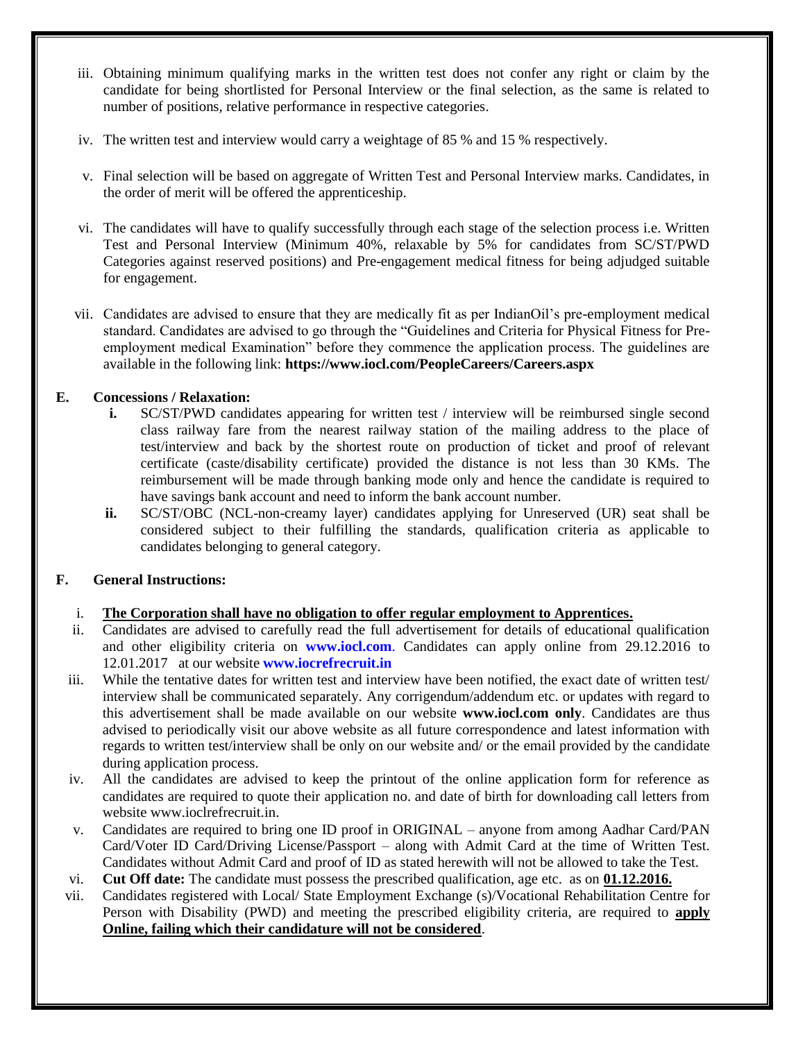- iii. Obtaining minimum qualifying marks in the written test does not confer any right or claim by the candidate for being shortlisted for Personal Interview or the final selection, as the same is related to number of positions, relative performance in respective categories.
- iv. The written test and interview would carry a weightage of 85 % and 15 % respectively.
- v. Final selection will be based on aggregate of Written Test and Personal Interview marks. Candidates, in the order of merit will be offered the apprenticeship.
- vi. The candidates will have to qualify successfully through each stage of the selection process i.e. Written Test and Personal Interview (Minimum 40%, relaxable by 5% for candidates from SC/ST/PWD Categories against reserved positions) and Pre-engagement medical fitness for being adjudged suitable for engagement.
- vii. Candidates are advised to ensure that they are medically fit as per IndianOil"s pre-employment medical standard. Candidates are advised to go through the "Guidelines and Criteria for Physical Fitness for Preemployment medical Examination" before they commence the application process. The guidelines are available in the following link: **https://www.iocl.com/PeopleCareers/Careers.aspx**

# **E. Concessions / Relaxation:**

- **i.** SC/ST/PWD candidates appearing for written test / interview will be reimbursed single second class railway fare from the nearest railway station of the mailing address to the place of test/interview and back by the shortest route on production of ticket and proof of relevant certificate (caste/disability certificate) provided the distance is not less than 30 KMs. The reimbursement will be made through banking mode only and hence the candidate is required to have savings bank account and need to inform the bank account number.
- **ii.** SC/ST/OBC (NCL-non-creamy layer) candidates applying for Unreserved (UR) seat shall be considered subject to their fulfilling the standards, qualification criteria as applicable to candidates belonging to general category.

# **F. General Instructions:**

# i. **The Corporation shall have no obligation to offer regular employment to Apprentices.**

- ii. Candidates are advised to carefully read the full advertisement for details of educational qualification and other eligibility criteria on **www.iocl.com**. Candidates can apply online from 29.12.2016 to 12.01.2017 at our website **[www.iocrefrecruit.in](http://www.iocrefrecruit.in/)**
- iii. While the tentative dates for written test and interview have been notified, the exact date of written test/ interview shall be communicated separately. Any corrigendum/addendum etc. or updates with regard to this advertisement shall be made available on our website **www.iocl.com only**. Candidates are thus advised to periodically visit our above website as all future correspondence and latest information with regards to written test/interview shall be only on our website and/ or the email provided by the candidate during application process.
- iv. All the candidates are advised to keep the printout of the online application form for reference as candidates are required to quote their application no. and date of birth for downloading call letters from website www.ioclrefrecruit.in.
- v. Candidates are required to bring one ID proof in ORIGINAL anyone from among Aadhar Card/PAN Card/Voter ID Card/Driving License/Passport – along with Admit Card at the time of Written Test. Candidates without Admit Card and proof of ID as stated herewith will not be allowed to take the Test.
- vi. **Cut Off date:** The candidate must possess the prescribed qualification, age etc. as on **01.12.2016.**
- vii. Candidates registered with Local/ State Employment Exchange (s)/Vocational Rehabilitation Centre for Person with Disability (PWD) and meeting the prescribed eligibility criteria, are required to **apply Online, failing which their candidature will not be considered**.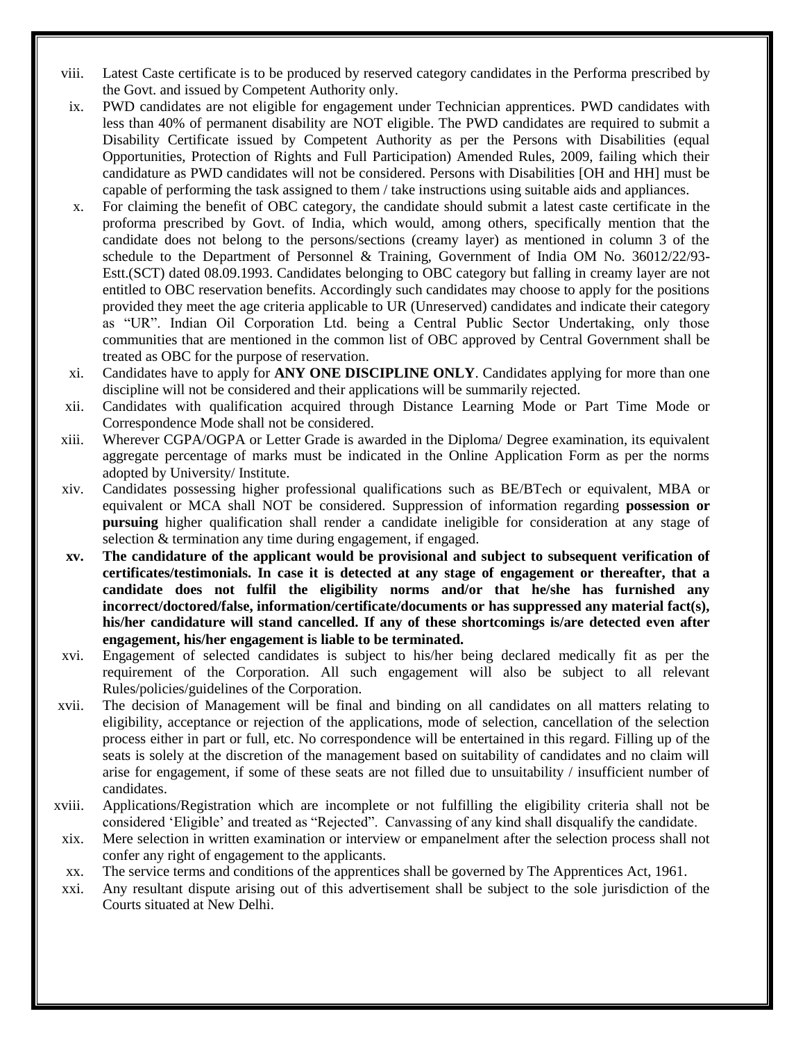- viii. Latest Caste certificate is to be produced by reserved category candidates in the Performa prescribed by the Govt. and issued by Competent Authority only.
- ix. PWD candidates are not eligible for engagement under Technician apprentices. PWD candidates with less than 40% of permanent disability are NOT eligible. The PWD candidates are required to submit a Disability Certificate issued by Competent Authority as per the Persons with Disabilities (equal Opportunities, Protection of Rights and Full Participation) Amended Rules, 2009, failing which their candidature as PWD candidates will not be considered. Persons with Disabilities [OH and HH] must be capable of performing the task assigned to them / take instructions using suitable aids and appliances.
- x. For claiming the benefit of OBC category, the candidate should submit a latest caste certificate in the proforma prescribed by Govt. of India, which would, among others, specifically mention that the candidate does not belong to the persons/sections (creamy layer) as mentioned in column 3 of the schedule to the Department of Personnel & Training, Government of India OM No. 36012/22/93- Estt.(SCT) dated 08.09.1993. Candidates belonging to OBC category but falling in creamy layer are not entitled to OBC reservation benefits. Accordingly such candidates may choose to apply for the positions provided they meet the age criteria applicable to UR (Unreserved) candidates and indicate their category as "UR". Indian Oil Corporation Ltd. being a Central Public Sector Undertaking, only those communities that are mentioned in the common list of OBC approved by Central Government shall be treated as OBC for the purpose of reservation.
- xi. Candidates have to apply for **ANY ONE DISCIPLINE ONLY**. Candidates applying for more than one discipline will not be considered and their applications will be summarily rejected.
- xii. Candidates with qualification acquired through Distance Learning Mode or Part Time Mode or Correspondence Mode shall not be considered.
- xiii. Wherever CGPA/OGPA or Letter Grade is awarded in the Diploma/ Degree examination, its equivalent aggregate percentage of marks must be indicated in the Online Application Form as per the norms adopted by University/ Institute.
- xiv. Candidates possessing higher professional qualifications such as BE/BTech or equivalent, MBA or equivalent or MCA shall NOT be considered. Suppression of information regarding **possession or pursuing** higher qualification shall render a candidate ineligible for consideration at any stage of selection & termination any time during engagement, if engaged.
- **xv. The candidature of the applicant would be provisional and subject to subsequent verification of certificates/testimonials. In case it is detected at any stage of engagement or thereafter, that a candidate does not fulfil the eligibility norms and/or that he/she has furnished any incorrect/doctored/false, information/certificate/documents or has suppressed any material fact(s), his/her candidature will stand cancelled. If any of these shortcomings is/are detected even after engagement, his/her engagement is liable to be terminated.**
- xvi. Engagement of selected candidates is subject to his/her being declared medically fit as per the requirement of the Corporation. All such engagement will also be subject to all relevant Rules/policies/guidelines of the Corporation.
- xvii. The decision of Management will be final and binding on all candidates on all matters relating to eligibility, acceptance or rejection of the applications, mode of selection, cancellation of the selection process either in part or full, etc. No correspondence will be entertained in this regard. Filling up of the seats is solely at the discretion of the management based on suitability of candidates and no claim will arise for engagement, if some of these seats are not filled due to unsuitability / insufficient number of candidates.
- xviii. Applications/Registration which are incomplete or not fulfilling the eligibility criteria shall not be considered "Eligible" and treated as "Rejected". Canvassing of any kind shall disqualify the candidate.
- xix. Mere selection in written examination or interview or empanelment after the selection process shall not confer any right of engagement to the applicants.
- xx. The service terms and conditions of the apprentices shall be governed by The Apprentices Act, 1961.
- xxi. Any resultant dispute arising out of this advertisement shall be subject to the sole jurisdiction of the Courts situated at New Delhi.